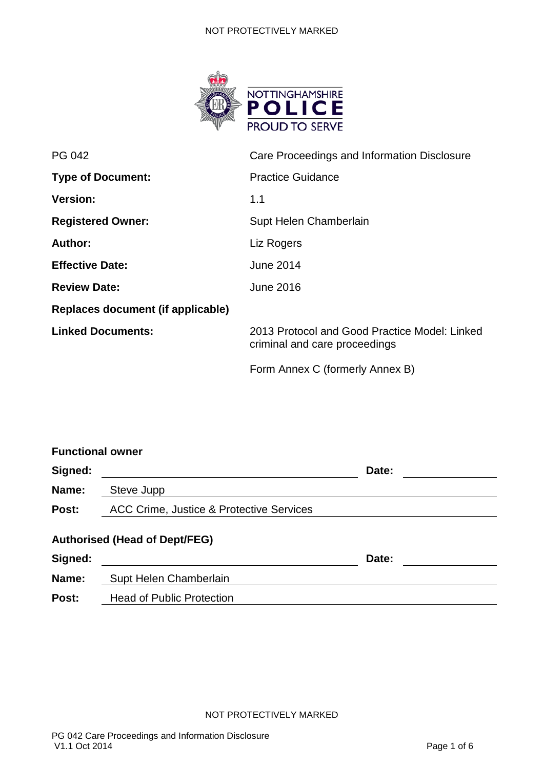#### NOT PROTECTIVELY MARKED



| PG 042                            | Care Proceedings and Information Disclosure                                    |  |  |
|-----------------------------------|--------------------------------------------------------------------------------|--|--|
| <b>Type of Document:</b>          | <b>Practice Guidance</b>                                                       |  |  |
| <b>Version:</b>                   | 1.1                                                                            |  |  |
| <b>Registered Owner:</b>          | Supt Helen Chamberlain                                                         |  |  |
| Author:                           | Liz Rogers                                                                     |  |  |
| <b>Effective Date:</b>            | <b>June 2014</b>                                                               |  |  |
| <b>Review Date:</b>               | <b>June 2016</b>                                                               |  |  |
| Replaces document (if applicable) |                                                                                |  |  |
| <b>Linked Documents:</b>          | 2013 Protocol and Good Practice Model: Linked<br>criminal and care proceedings |  |  |
|                                   | Form Annex C (formerly Annex B)                                                |  |  |

|                                                                | Date: |  |  |  |  |
|----------------------------------------------------------------|-------|--|--|--|--|
| Steve Jupp                                                     |       |  |  |  |  |
| ACC Crime, Justice & Protective Services                       |       |  |  |  |  |
| <b>Authorised (Head of Dept/FEG)</b><br>Supt Helen Chamberlain | Date: |  |  |  |  |
|                                                                |       |  |  |  |  |

Post: Head of Public Protection

NOT PROTECTIVELY MARKED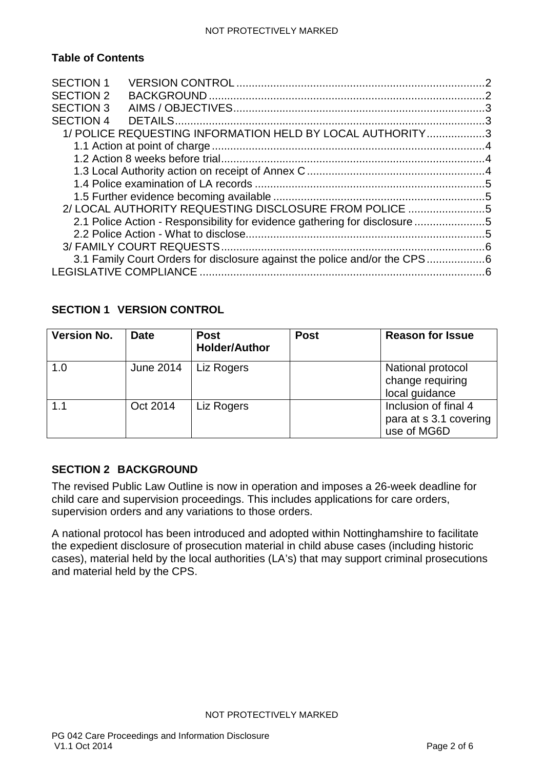#### NOT PROTECTIVELY MARKED

# **Table of Contents**

| <b>SECTION 1</b><br><b>SECTION 2</b> |                                                                           |    |
|--------------------------------------|---------------------------------------------------------------------------|----|
| <b>SECTION 3</b>                     |                                                                           |    |
| <b>SECTION 4</b>                     |                                                                           |    |
|                                      | 1/ POLICE REQUESTING INFORMATION HELD BY LOCAL AUTHORITY3                 |    |
|                                      |                                                                           |    |
|                                      |                                                                           |    |
|                                      |                                                                           |    |
|                                      |                                                                           |    |
|                                      |                                                                           |    |
|                                      | 2/ LOCAL AUTHORITY REQUESTING DISCLOSURE FROM POLICE 5                    |    |
|                                      | 2.1 Police Action - Responsibility for evidence gathering for disclosure  |    |
|                                      |                                                                           |    |
|                                      |                                                                           |    |
|                                      | 3.1 Family Court Orders for disclosure against the police and/or the CPS6 |    |
| <b>LEGISLATIVE COMPLIANCE</b>        |                                                                           | -6 |
|                                      |                                                                           |    |

# <span id="page-1-0"></span>**SECTION 1 VERSION CONTROL**

| <b>Version No.</b> | <b>Date</b>      | <b>Post</b><br><b>Holder/Author</b> | <b>Post</b> | <b>Reason for Issue</b>                                       |
|--------------------|------------------|-------------------------------------|-------------|---------------------------------------------------------------|
| 1.0                | <b>June 2014</b> | Liz Rogers                          |             | National protocol<br>change requiring<br>local guidance       |
| 1.1                | Oct 2014         | Liz Rogers                          |             | Inclusion of final 4<br>para at s 3.1 covering<br>use of MG6D |

# <span id="page-1-1"></span>**SECTION 2 BACKGROUND**

The revised Public Law Outline is now in operation and imposes a 26-week deadline for child care and supervision proceedings. This includes applications for care orders, supervision orders and any variations to those orders.

A national protocol has been introduced and adopted within Nottinghamshire to facilitate the expedient disclosure of prosecution material in child abuse cases (including historic cases), material held by the local authorities (LA's) that may support criminal prosecutions and material held by the CPS.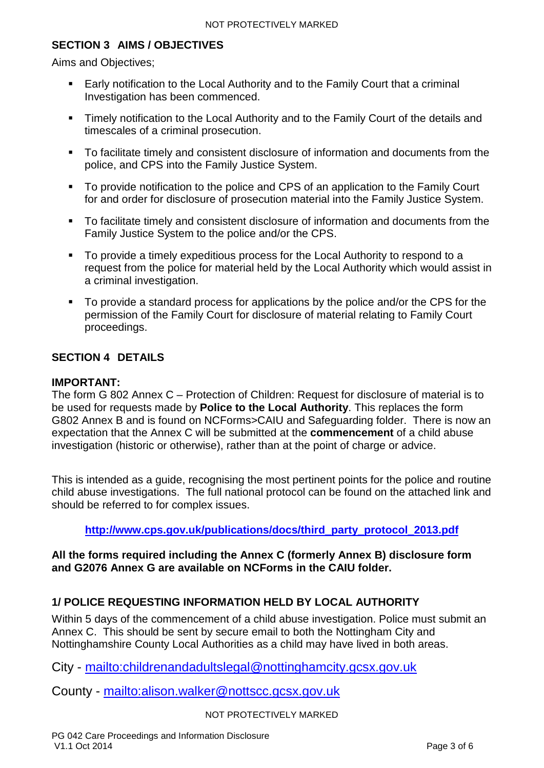# <span id="page-2-0"></span>**SECTION 3 AIMS / OBJECTIVES**

Aims and Objectives;

- Early notification to the Local Authority and to the Family Court that a criminal Investigation has been commenced.
- **Timely notification to the Local Authority and to the Family Court of the details and** timescales of a criminal prosecution.
- To facilitate timely and consistent disclosure of information and documents from the police, and CPS into the Family Justice System.
- To provide notification to the police and CPS of an application to the Family Court for and order for disclosure of prosecution material into the Family Justice System.
- To facilitate timely and consistent disclosure of information and documents from the Family Justice System to the police and/or the CPS.
- To provide a timely expeditious process for the Local Authority to respond to a request from the police for material held by the Local Authority which would assist in a criminal investigation.
- To provide a standard process for applications by the police and/or the CPS for the permission of the Family Court for disclosure of material relating to Family Court proceedings.

# <span id="page-2-1"></span>**SECTION 4 DETAILS**

#### **IMPORTANT:**

The form G 802 Annex C – Protection of Children: Request for disclosure of material is to be used for requests made by **Police to the Local Authority**. This replaces the form G802 Annex B and is found on NCForms>CAIU and Safeguarding folder. There is now an expectation that the Annex C will be submitted at the **commencement** of a child abuse investigation (historic or otherwise), rather than at the point of charge or advice.

This is intended as a guide, recognising the most pertinent points for the police and routine child abuse investigations. The full national protocol can be found on the attached link and should be referred to for complex issues.

### **[http://www.cps.gov.uk/publications/docs/third\\_party\\_protocol\\_2013.pdf](http://www.cps.gov.uk/publications/docs/third_party_protocol_2013.pdf)**

### **All the forms required including the Annex C (formerly Annex B) disclosure form and G2076 Annex G are available on NCForms in the CAIU folder.**

### <span id="page-2-2"></span>**1/ POLICE REQUESTING INFORMATION HELD BY LOCAL AUTHORITY**

Within 5 days of the commencement of a child abuse investigation. Police must submit an Annex C. This should be sent by secure email to both the Nottingham City and Nottinghamshire County Local Authorities as a child may have lived in both areas.

City - <mailto:childrenandadultslegal@nottinghamcity.gcsx.gov.uk>

County - <mailto:alison.walker@nottscc.gcsx.gov.uk>

#### NOT PROTECTIVELY MARKED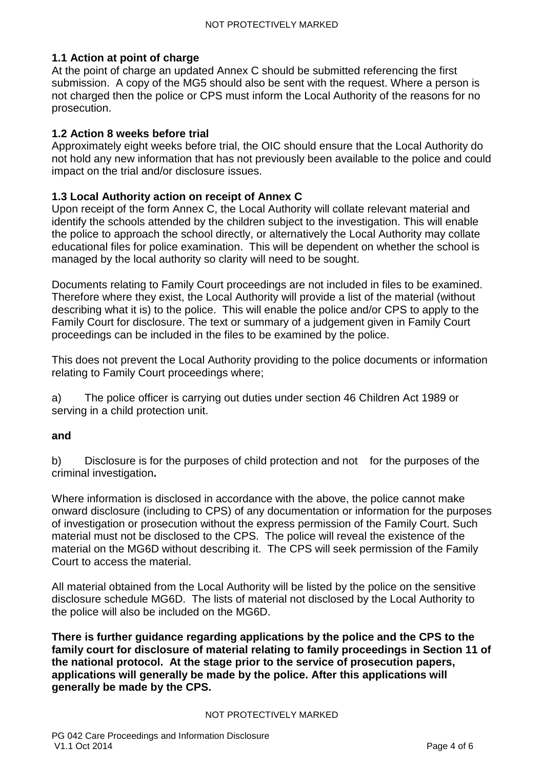### <span id="page-3-0"></span>**1.1 Action at point of charge**

At the point of charge an updated Annex C should be submitted referencing the first submission. A copy of the MG5 should also be sent with the request. Where a person is not charged then the police or CPS must inform the Local Authority of the reasons for no prosecution.

### <span id="page-3-1"></span>**1.2 Action 8 weeks before trial**

Approximately eight weeks before trial, the OIC should ensure that the Local Authority do not hold any new information that has not previously been available to the police and could impact on the trial and/or disclosure issues.

### <span id="page-3-2"></span>**1.3 Local Authority action on receipt of Annex C**

Upon receipt of the form Annex C, the Local Authority will collate relevant material and identify the schools attended by the children subject to the investigation. This will enable the police to approach the school directly, or alternatively the Local Authority may collate educational files for police examination. This will be dependent on whether the school is managed by the local authority so clarity will need to be sought.

Documents relating to Family Court proceedings are not included in files to be examined. Therefore where they exist, the Local Authority will provide a list of the material (without describing what it is) to the police. This will enable the police and/or CPS to apply to the Family Court for disclosure. The text or summary of a judgement given in Family Court proceedings can be included in the files to be examined by the police.

This does not prevent the Local Authority providing to the police documents or information relating to Family Court proceedings where;

a) The police officer is carrying out duties under section 46 Children Act 1989 or serving in a child protection unit.

#### **and**

b) Disclosure is for the purposes of child protection and not for the purposes of the criminal investigation**.**

Where information is disclosed in accordance with the above, the police cannot make onward disclosure (including to CPS) of any documentation or information for the purposes of investigation or prosecution without the express permission of the Family Court. Such material must not be disclosed to the CPS. The police will reveal the existence of the material on the MG6D without describing it. The CPS will seek permission of the Family Court to access the material.

All material obtained from the Local Authority will be listed by the police on the sensitive disclosure schedule MG6D. The lists of material not disclosed by the Local Authority to the police will also be included on the MG6D.

**There is further guidance regarding applications by the police and the CPS to the family court for disclosure of material relating to family proceedings in Section 11 of the national protocol. At the stage prior to the service of prosecution papers, applications will generally be made by the police. After this applications will generally be made by the CPS.**

#### NOT PROTECTIVELY MARKED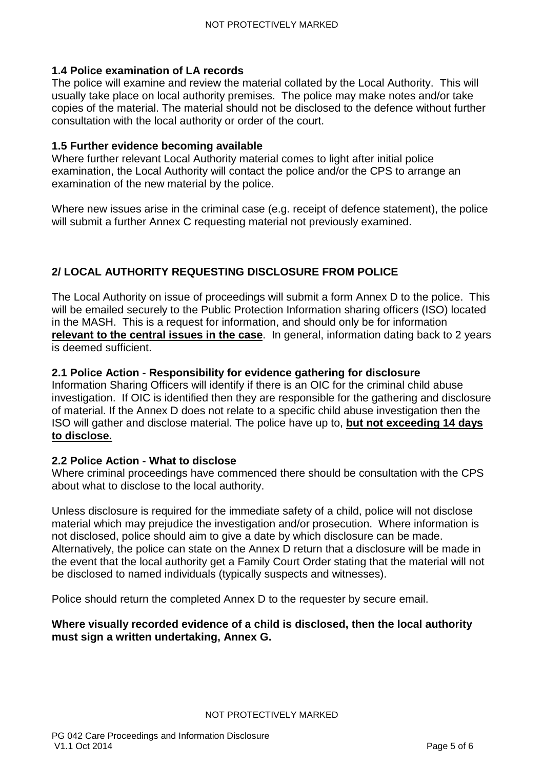### <span id="page-4-0"></span>**1.4 Police examination of LA records**

The police will examine and review the material collated by the Local Authority. This will usually take place on local authority premises. The police may make notes and/or take copies of the material. The material should not be disclosed to the defence without further consultation with the local authority or order of the court.

### <span id="page-4-1"></span>**1.5 Further evidence becoming available**

Where further relevant Local Authority material comes to light after initial police examination, the Local Authority will contact the police and/or the CPS to arrange an examination of the new material by the police.

Where new issues arise in the criminal case (e.g. receipt of defence statement), the police will submit a further Annex C requesting material not previously examined.

# <span id="page-4-2"></span>**2/ LOCAL AUTHORITY REQUESTING DISCLOSURE FROM POLICE**

The Local Authority on issue of proceedings will submit a form Annex D to the police. This will be emailed securely to the Public Protection Information sharing officers (ISO) located in the MASH. This is a request for information, and should only be for information **relevant to the central issues in the case**. In general, information dating back to 2 years is deemed sufficient.

### <span id="page-4-3"></span>**2.1 Police Action - Responsibility for evidence gathering for disclosure**

Information Sharing Officers will identify if there is an OIC for the criminal child abuse investigation. If OIC is identified then they are responsible for the gathering and disclosure of material. If the Annex D does not relate to a specific child abuse investigation then the ISO will gather and disclose material. The police have up to, **but not exceeding 14 days to disclose.**

### <span id="page-4-4"></span>**2.2 Police Action - What to disclose**

Where criminal proceedings have commenced there should be consultation with the CPS about what to disclose to the local authority.

Unless disclosure is required for the immediate safety of a child, police will not disclose material which may prejudice the investigation and/or prosecution. Where information is not disclosed, police should aim to give a date by which disclosure can be made. Alternatively, the police can state on the Annex D return that a disclosure will be made in the event that the local authority get a Family Court Order stating that the material will not be disclosed to named individuals (typically suspects and witnesses).

Police should return the completed Annex D to the requester by secure email.

### **Where visually recorded evidence of a child is disclosed, then the local authority must sign a written undertaking, Annex G.**